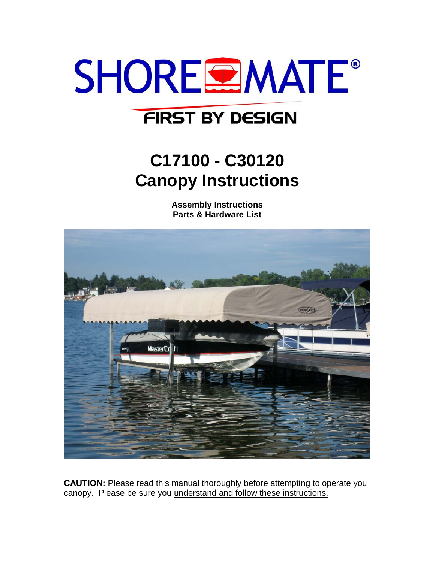

## **FIRST BY DESIGN**

# **C17100 - C30120 Canopy Instructions**

**Assembly Instructions Parts & Hardware List**



**CAUTION:** Please read this manual thoroughly before attempting to operate you canopy. Please be sure you understand and follow these instructions.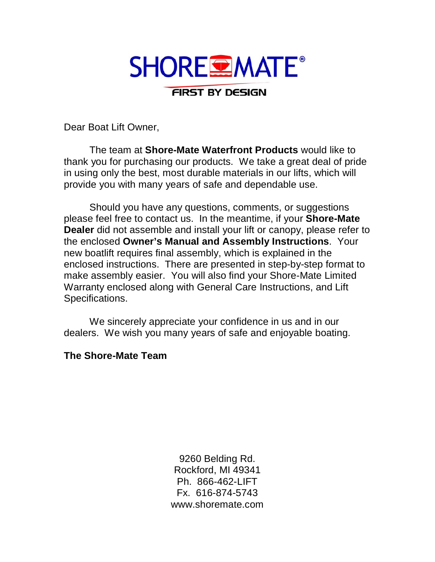

Dear Boat Lift Owner,

The team at **Shore-Mate Waterfront Products** would like to thank you for purchasing our products. We take a great deal of pride in using only the best, most durable materials in our lifts, which will provide you with many years of safe and dependable use.

Should you have any questions, comments, or suggestions please feel free to contact us. In the meantime, if your **Shore-Mate Dealer** did not assemble and install your lift or canopy, please refer to the enclosed **Owner's Manual and Assembly Instructions**. Your new boatlift requires final assembly, which is explained in the enclosed instructions. There are presented in step-by-step format to make assembly easier. You will also find your Shore-Mate Limited Warranty enclosed along with General Care Instructions, and Lift Specifications.

We sincerely appreciate your confidence in us and in our dealers. We wish you many years of safe and enjoyable boating.

#### **The Shore-Mate Team**

9260 Belding Rd. Rockford, MI 49341 Ph. 866-462-LIFT Fx. 616-874-5743 www.shoremate.com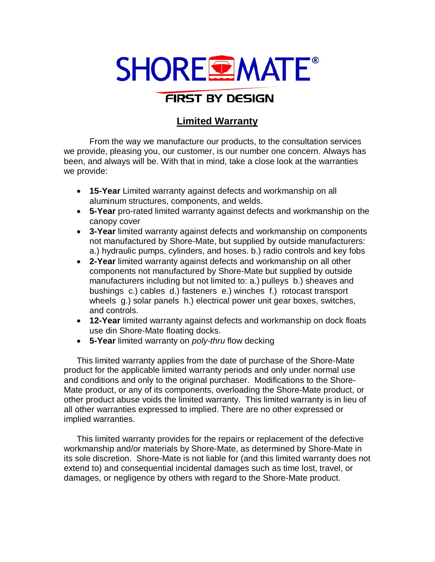# **SHORE EMATE®**

## FIRST BY DESIGN

### **Limited Warranty**

From the way we manufacture our products, to the consultation services we provide, pleasing you, our customer, is our number one concern. Always has been, and always will be. With that in mind, take a close look at the warranties we provide:

- **15-Year** Limited warranty against defects and workmanship on all aluminum structures, components, and welds.
- **5-Year** pro-rated limited warranty against defects and workmanship on the canopy cover
- **3-Year** limited warranty against defects and workmanship on components not manufactured by Shore-Mate, but supplied by outside manufacturers: a.) hydraulic pumps, cylinders, and hoses. b.) radio controls and key fobs
- **2-Year** limited warranty against defects and workmanship on all other components not manufactured by Shore-Mate but supplied by outside manufacturers including but not limited to: a.) pulleys b.) sheaves and bushings c.) cables d.) fasteners e.) winches f.) rotocast transport wheels g.) solar panels h.) electrical power unit gear boxes, switches, and controls.
- **12-Year** limited warranty against defects and workmanship on dock floats use din Shore-Mate floating docks.
- **5-Year** limited warranty on *poly-thru* flow decking

This limited warranty applies from the date of purchase of the Shore-Mate product for the applicable limited warranty periods and only under normal use and conditions and only to the original purchaser. Modifications to the Shore-Mate product, or any of its components, overloading the Shore-Mate product, or other product abuse voids the limited warranty. This limited warranty is in lieu of all other warranties expressed to implied. There are no other expressed or implied warranties.

This limited warranty provides for the repairs or replacement of the defective workmanship and/or materials by Shore-Mate, as determined by Shore-Mate in its sole discretion. Shore-Mate is not liable for (and this limited warranty does not extend to) and consequential incidental damages such as time lost, travel, or damages, or negligence by others with regard to the Shore-Mate product.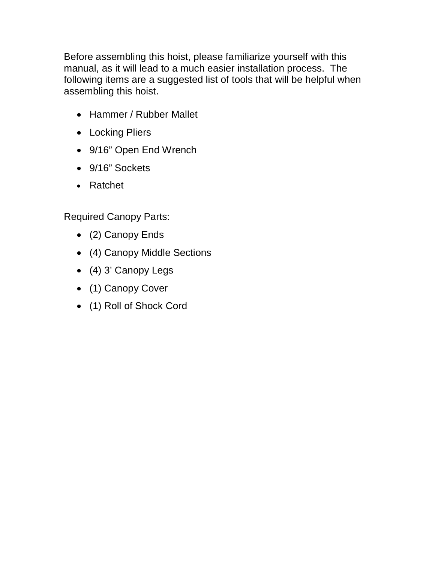Before assembling this hoist, please familiarize yourself with this manual, as it will lead to a much easier installation process. The following items are a suggested list of tools that will be helpful when assembling this hoist.

- Hammer / Rubber Mallet
- Locking Pliers
- 9/16" Open End Wrench
- 9/16" Sockets
- Ratchet

Required Canopy Parts:

- (2) Canopy Ends
- (4) Canopy Middle Sections
- (4) 3' Canopy Legs
- (1) Canopy Cover
- (1) Roll of Shock Cord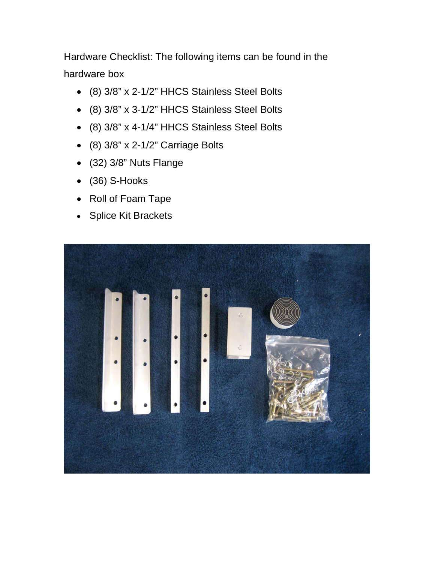Hardware Checklist: The following items can be found in the hardware box

- (8) 3/8" x 2-1/2" HHCS Stainless Steel Bolts
- (8) 3/8" x 3-1/2" HHCS Stainless Steel Bolts
- (8) 3/8" x 4-1/4" HHCS Stainless Steel Bolts
- (8) 3/8" x 2-1/2" Carriage Bolts
- (32) 3/8" Nuts Flange
- (36) S-Hooks
- Roll of Foam Tape
- Splice Kit Brackets

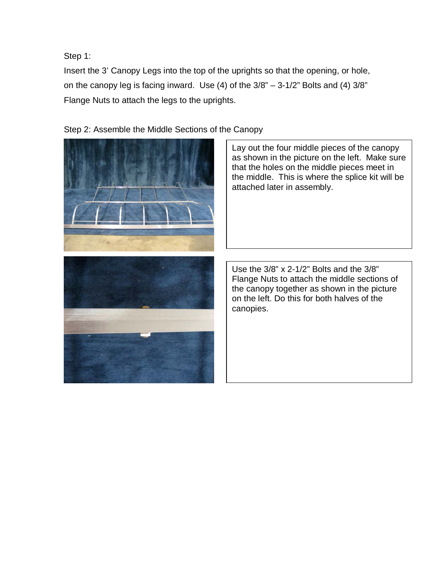Step 1:

Insert the 3' Canopy Legs into the top of the uprights so that the opening, or hole, on the canopy leg is facing inward. Use  $(4)$  of the  $3/8" - 3-1/2"$  Bolts and  $(4)$   $3/8"$ Flange Nuts to attach the legs to the uprights.

Step 2: Assemble the Middle Sections of the Canopy



Lay out the four middle pieces of the canopy as shown in the picture on the left. Make sure that the holes on the middle pieces meet in the middle. This is where the splice kit will be attached later in assembly.

Use the 3/8" x 2-1/2" Bolts and the 3/8" Flange Nuts to attach the middle sections of the canopy together as shown in the picture on the left. Do this for both halves of the canopies.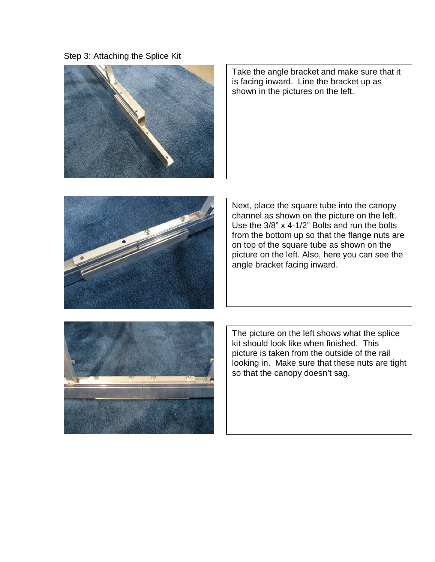Step 3: Attaching the Splice Kit



Take the angle bracket and make sure that it is facing inward. Line the bracket up as shown in the pictures on the left.



Next, place the square tube into the canopy channel as shown on the picture on the left. Use the 3/8" x 4-1/2" Bolts and run the bolts from the bottom up so that the flange nuts are on top of the square tube as shown on the picture on the left. Also, here you can see the angle bracket facing inward.



The picture on the left shows what the splice kit should look like when finished. This picture is taken from the outside of the rail looking in. Make sure that these nuts are tight so that the canopy doesn't sag.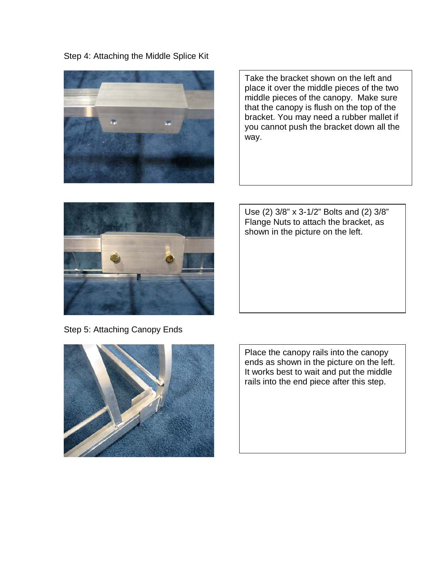Step 4: Attaching the Middle Splice Kit



Take the bracket shown on the left and place it over the middle pieces of the two middle pieces of the canopy. Make sure that the canopy is flush on the top of the bracket. You may need a rubber mallet if you cannot push the bracket down all the way.



Use (2) 3/8" x 3-1/2" Bolts and (2) 3/8" Flange Nuts to attach the bracket, as shown in the picture on the left.

Step 5: Attaching Canopy Ends



Place the canopy rails into the canopy ends as shown in the picture on the left. It works best to wait and put the middle rails into the end piece after this step.